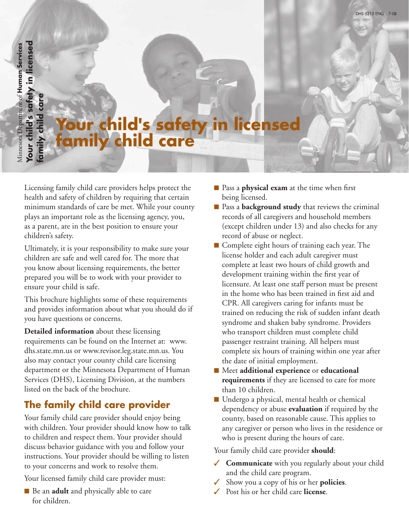**Your child's safety in licensed**  Your child's safety in licensed Minnesota Department of Human Services Minnesota Department of **Human Services family child care** amily child

# **Your child's safety in licensed family child care**

Licensing family child care providers helps protect the health and safety of children by requiring that certain minimum standards of care be met. While your county plays an important role as the licensing agency, you, as a parent, are in the best position to ensure your children's safety.

Ultimately, it is your responsibility to make sure your children are safe and well cared for. The more that you know about licensing requirements, the better prepared you will be to work with your provider to ensure your child is safe.

This brochure highlights some of these requirements and provides information about what you should do if you have questions or concerns.

**Detailed information** about these licensing requirements can be found on the Internet at: www. dhs.state.mn.us or www.revisor.leg.state.mn.us. You also may contact your county child care licensing department or the Minnesota Department of Human Services (DHS), Licensing Division, at the numbers listed on the back of the brochure.

### **The family child care provider**

Your family child care provider should enjoy being with children. Your provider should know how to talk to children and respect them. Your provider should discuss behavior guidance with you and follow your instructions. Your provider should be willing to listen to your concerns and work to resolve them.

Your licensed family child care provider must:

■ Be an **adult** and physically able to care for children.

- Pass a **physical exam** at the time when first being licensed.
- Pass a **background study** that reviews the criminal records of all caregivers and household members (except children under 13) and also checks for any record of abuse or neglect.
- Complete eight hours of training each year. The license holder and each adult caregiver must complete at least two hours of child growth and development training within the first year of licensure. At least one staff person must be present in the home who has been trained in first aid and CPR. All caregivers caring for infants must be trained on reducing the risk of sudden infant death syndrome and shaken baby syndrome. Providers who transport children must complete child passenger restraint training. All helpers must complete six hours of training within one year after the date of initial employment.
- Meet **additional experience** or **educational requirements** if they are licensed to care for more than 10 children.
- Undergo a physical, mental health or chemical dependency or abuse **evaluation** if required by the county, based on reasonable cause. This applies to any caregiver or person who lives in the residence or who is present during the hours of care.

Your family child care provider **should**:

- ✓ **Communicate** with you regularly about your child and the child care program.
- Show you a copy of his or her **policies**.
- Post his or her child care **license**.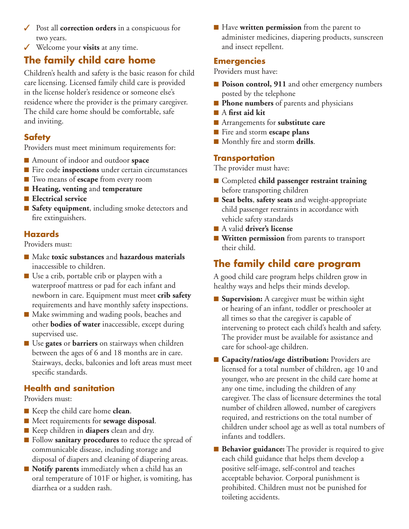- ✓ Post all **correction orders** in a conspicuous for two years.
- ✓ Welcome your **visits** at any time.

## **The family child care home**

Children's health and safety is the basic reason for child care licensing. Licensed family child care is provided in the license holder's residence or someone else's residence where the provider is the primary caregiver. The child care home should be comfortable, safe and inviting.

#### **Safety**

Providers must meet minimum requirements for:

- Amount of indoor and outdoor **space**
- Fire code **inspections** under certain circumstances
- Two means of **escape** from every room
- **Heating, venting** and **temperature**
- Electrical service
- Safety equipment, including smoke detectors and fire extinguishers.

#### **Hazards**

Providers must:

- Make **toxic substances** and **hazardous** materials inaccessible to children.
- Use a crib, portable crib or playpen with a waterproof mattress or pad for each infant and newborn in care. Equipment must meet **crib safety** requirements and have monthly safety inspections.
- Make swimming and wading pools, beaches and other **bodies of water** inaccessible, except during supervised use.
- Use **gates** or **barriers** on stairways when children between the ages of 6 and 18 months are in care. Stairways, decks, balconies and loft areas must meet specific standards.

#### **Health and sanitation**

Providers must:

- Keep the child care home **clean**.
- ■ Meet requirements for **sewage disposal**.
- Keep children in **diapers** clean and dry.
- Follow **sanitary procedures** to reduce the spread of communicable disease, including storage and disposal of diapers and cleaning of diapering areas.
- **Notify parents** immediately when a child has an oral temperature of 101F or higher, is vomiting, has diarrhea or a sudden rash.

■ Have **written permission** from the parent to administer medicines, diapering products, sunscreen and insect repellent.

#### **Emergencies**

Providers must have:

- **Poison control, 911** and other emergency numbers posted by the telephone
- **Phone numbers** of parents and physicians
- A first aid kit
- Arrangements for **substitute care**
- Fire and storm **escape plans**
- Monthly fire and storm **drills**.

#### **Transportation**

The provider must have:

- Completed **child passenger restraint training** before transporting children
- Seat belts, safety seats and weight-appropriate child passenger restraints in accordance with vehicle safety standards
- A valid **driver's license**
- **Written permission** from parents to transport their child.

## **The family child care program**

A good child care program helps children grow in healthy ways and helps their minds develop.

- **Supervision:** A caregiver must be within sight or hearing of an infant, toddler or preschooler at all times so that the caregiver is capable of intervening to protect each child's health and safety. The provider must be available for assistance and care for school-age children.
- **Capacity/ratios/age distribution:** Providers are licensed for a total number of children, age 10 and younger, who are present in the child care home at any one time, including the children of any caregiver. The class of licensure determines the total number of children allowed, number of caregivers required, and restrictions on the total number of children under school age as well as total numbers of infants and toddlers.
- **Behavior guidance:** The provider is required to give each child guidance that helps them develop a positive self-image, self-control and teaches acceptable behavior. Corporal punishment is prohibited. Children must not be punished for toileting accidents.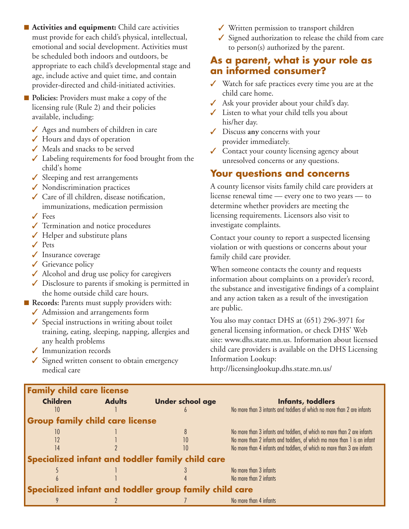- **Activities and equipment:** Child care activities must provide for each child's physical, intellectual, emotional and social development. Activities must be scheduled both indoors and outdoors, be appropriate to each child's developmental stage and age, include active and quiet time, and contain provider-directed and child-initiated activities.
- **Policies:** Providers must make a copy of the licensing rule (Rule 2) and their policies available, including:
	- ✓ Ages and numbers of children in care
	- ✓ Hours and days of operation
	- ✓ Meals and snacks to be served
	- $\checkmark$  Labeling requirements for food brought from the child's home
	- ✓ Sleeping and rest arrangements
	- ✓ Nondiscrimination practices
	- ✓ Care of ill children, disease notification, immunizations, medication permission
	- ✓ Fees
	- ✓ Termination and notice procedures
	- $\checkmark$  Helper and substitute plans
	- ✓ Pets
	- ✓ Insurance coverage
	- ✓ Grievance policy
	- ✓ Alcohol and drug use policy for caregivers
	- ✓ Disclosure to parents if smoking is permitted in the home outside child care hours.
- **Records:** Parents must supply providers with:
	- ✓ Admission and arrangements form
	- $\checkmark$  Special instructions in writing about toilet training, eating, sleeping, napping, allergies and any health problems
	- ✓ Immunization records
	- ✓ Signed written consent to obtain emergency medical care
- ✓ Written permission to transport children
- $\checkmark$  Signed authorization to release the child from care to person(s) authorized by the parent.

#### **As a parent, what is your role as an informed consumer?**

- ✓ Watch for safe practices every time you are at the child care home.
- ✓ Ask your provider about your child's day.
- ✓ Listen to what your child tells you about his/her day.
- ✓ Discuss **any** concerns with your provider immediately.
- ✓ Contact your county licensing agency about unresolved concerns or any questions.

#### **Your questions and concerns**

A county licensor visits family child care providers at license renewal time — every one to two years — to determine whether providers are meeting the licensing requirements. Licensors also visit to investigate complaints.

Contact your county to report a suspected licensing violation or with questions or concerns about your family child care provider.

When someone contacts the county and requests information about complaints on a provider's record, the substance and investigative findings of a complaint and any action taken as a result of the investigation are public.

You also may contact DHS at (651) 296-3971 for general licensing information, or check DHS' Web site: [www.dhs.state.mn.us](http://www.dhs.state.mn.us). Information about licensed child care providers is available on the DHS Licensing Information Lookup:

[http://licensinglookup.dhs.state.mn.us/](http://www.dhs.state.mn.us)

| <b>Family child care license</b>                       |               |                                                  |                                                                           |
|--------------------------------------------------------|---------------|--------------------------------------------------|---------------------------------------------------------------------------|
| <b>Children</b>                                        | <b>Adults</b> | <b>Under school age</b>                          | Infants, toddlers                                                         |
| 10                                                     |               |                                                  | No more than 3 intants and toddlers of which no more than 2 are infants   |
| <b>Group family child care license</b>                 |               |                                                  |                                                                           |
| 10                                                     |               |                                                  | No more than 3 infants and toddlers, of which no more than 2 are infants  |
|                                                        |               | 10                                               | No more than 2 infants and toddlers, of which mo more than 1 is an infant |
| 14                                                     |               | 10                                               | No more than 4 infants and toddlers, of which no more than 3 are infants  |
|                                                        |               | Specialized infant and toddler family child care |                                                                           |
|                                                        |               |                                                  | No more than 3 infants                                                    |
|                                                        |               |                                                  | No more than 2 infants                                                    |
| Specialized infant and toddler group family child care |               |                                                  |                                                                           |
|                                                        |               |                                                  | No more than 4 infants                                                    |